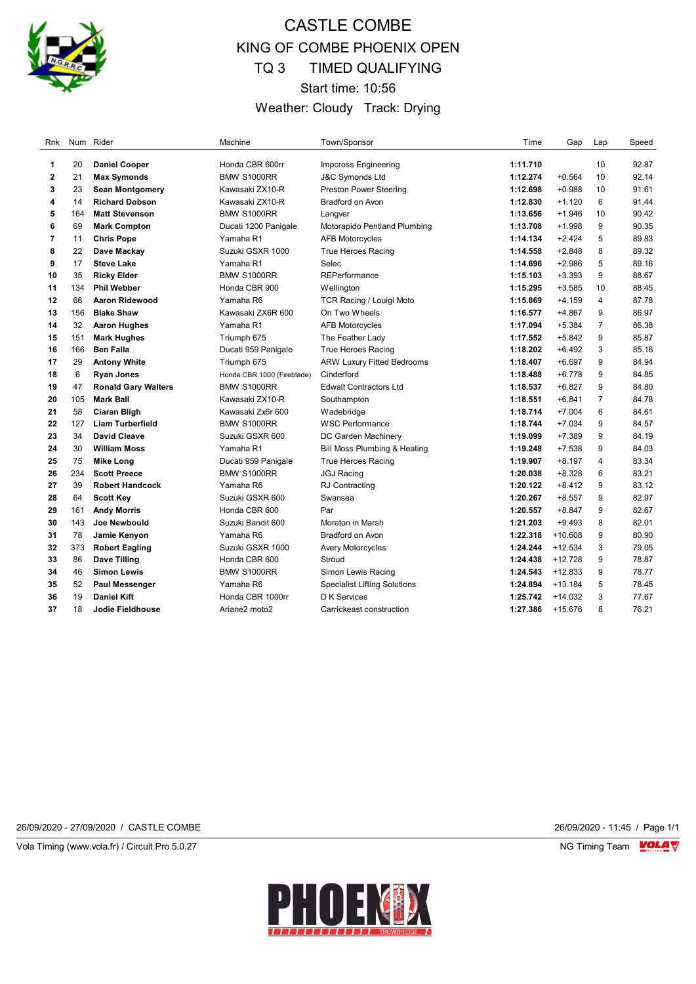

# CASTLE COMBE KING OF COMBE PHOENIX OPEN TQ 3 TIMED QUALIFYING Start time: 10:56 Weather: Cloudy Track: Drying

| Rnk            | Num | Rider                      | Machine                    | Town/Sponsor                        | Time     | Gap       | Lap            | Speed |
|----------------|-----|----------------------------|----------------------------|-------------------------------------|----------|-----------|----------------|-------|
| 1              | 20  | <b>Daniel Cooper</b>       | Honda CBR 600rr            | Impcross Engineering                | 1:11.710 |           | 10             | 92.87 |
| $\bf 2$        | 21  | <b>Max Symonds</b>         | <b>BMW S1000RR</b>         | <b>J&amp;C Symonds Ltd</b>          | 1:12.274 | $+0.564$  | 10             | 92.14 |
| 3              | 23  | <b>Sean Montgomery</b>     | Kawasaki ZX10-R            | <b>Preston Power Steering</b>       | 1:12.698 | $+0.988$  | 10             | 91.61 |
| 4              | 14  | <b>Richard Dobson</b>      | Kawasaki ZX10-R            | <b>Bradford on Avon</b>             | 1:12.830 | $+1.120$  | 6              | 91.44 |
| 5              | 164 | <b>Matt Stevenson</b>      | BMW S1000RR                | Langver                             | 1:13.656 | $+1.946$  | 10             | 90.42 |
| 6              | 69  | <b>Mark Compton</b>        | Ducati 1200 Panigale       | Motorapido Pentland Plumbing        | 1:13.708 | $+1.998$  | 9              | 90.35 |
| $\overline{7}$ | 11  | <b>Chris Pope</b>          | Yamaha R1                  | <b>AFB Motorcycles</b>              | 1:14.134 | $+2.424$  | 5              | 89.83 |
| 8              | 22  | Dave Mackay                | Suzuki GSXR 1000           | <b>True Heroes Racing</b>           | 1:14.558 | $+2.848$  | 8              | 89.32 |
| 9              | 17  | <b>Steve Lake</b>          | Yamaha R1                  | Selec                               | 1:14.696 | $+2.986$  | 5              | 89.16 |
| 10             | 35  | <b>Ricky Elder</b>         | BMW S1000RR                | <b>REPerformance</b>                | 1:15.103 | $+3.393$  | 9              | 88.67 |
| 11             | 134 | <b>Phil Webber</b>         | Honda CBR 900              | Wellington                          | 1:15.295 | $+3.585$  | 10             | 88.45 |
| 12             | 66  | Aaron Ridewood             | Yamaha R6                  | <b>TCR Racing / Louigi Moto</b>     | 1:15.869 | $+4.159$  | 4              | 87.78 |
| 13             | 156 | <b>Blake Shaw</b>          | Kawasaki ZX6R 600          | On Two Wheels                       | 1:16.577 | $+4.867$  | 9              | 86.97 |
| 14             | 32  | <b>Aaron Hughes</b>        | Yamaha R1                  | <b>AFB Motorcycles</b>              | 1:17.094 | $+5.384$  | $\overline{7}$ | 86.38 |
| 15             | 151 | <b>Mark Hughes</b>         | Triumph 675                | The Feather Lady                    | 1:17.552 | $+5.842$  | 9              | 85.87 |
| 16             | 166 | <b>Ben Falla</b>           | Ducati 959 Panigale        | <b>True Heroes Racing</b>           | 1:18.202 | $+6.492$  | 3              | 85.16 |
| 17             | 29  | <b>Antony White</b>        | Triumph 675                | <b>ARW Luxury Fitted Bedrooms</b>   | 1:18.407 | $+6.697$  | 9              | 84.94 |
| 18             | 6   | <b>Ryan Jones</b>          | Honda CBR 1000 (Fireblade) | Cinderford                          | 1:18.488 | $+6.778$  | 9              | 84.85 |
| 19             | 47  | <b>Ronald Gary Walters</b> | <b>BMW S1000RR</b>         | <b>Edwalt Contractors Ltd</b>       | 1:18.537 | $+6.827$  | 9              | 84.80 |
| 20             | 105 | <b>Mark Ball</b>           | Kawasaki ZX10-R            | Southampton                         | 1:18.551 | $+6.841$  | $\overline{7}$ | 84.78 |
| 21             | 58  | <b>Ciaran Bligh</b>        | Kawasaki Zx6r 600          | Wadebridge                          | 1:18.714 | $+7.004$  | 6              | 84.61 |
| 22             | 127 | <b>Liam Turberfield</b>    | <b>BMW S1000RR</b>         | <b>WSC Performance</b>              | 1:18.744 | $+7.034$  | 9              | 84.57 |
| 23             | 34  | <b>David Cleave</b>        | Suzuki GSXR 600            | DC Garden Machinery                 | 1:19.099 | $+7.389$  | 9              | 84.19 |
| 24             | 30  | <b>William Moss</b>        | Yamaha R1                  | Bill Moss Plumbing & Heating        | 1:19.248 | $+7.538$  | 9              | 84.03 |
| 25             | 75  | <b>Mike Long</b>           | Ducati 959 Panigale        | <b>True Heroes Racing</b>           | 1:19.907 | $+8.197$  | 4              | 83.34 |
| 26             | 234 | <b>Scott Preece</b>        | <b>BMW S1000RR</b>         | <b>JGJ Racing</b>                   | 1:20.038 | $+8.328$  | 6              | 83.21 |
| 27             | 39  | <b>Robert Handcock</b>     | Yamaha R6                  | <b>RJ Contracting</b>               | 1:20.122 | $+8.412$  | 9              | 83.12 |
| 28             | 64  | <b>Scott Key</b>           | Suzuki GSXR 600            | Swansea                             | 1:20.267 | $+8.557$  | 9              | 82.97 |
| 29             | 161 | <b>Andy Morris</b>         | Honda CBR 600              | Par                                 | 1:20.557 | $+8.847$  | 9              | 82.67 |
| 30             | 143 | <b>Joe Newbould</b>        | Suzuki Bandit 600          | Moreton in Marsh                    | 1:21.203 | $+9.493$  | 8              | 82.01 |
| 31             | 78  | Jamie Kenyon               | Yamaha R6                  | <b>Bradford on Avon</b>             | 1:22.318 | $+10.608$ | 9              | 80.90 |
| 32             | 373 | <b>Robert Eagling</b>      | Suzuki GSXR 1000           | <b>Avery Motorcycles</b>            | 1:24.244 | $+12.534$ | 3              | 79.05 |
| 33             | 86  | <b>Dave Tilling</b>        | Honda CBR 600              | Stroud                              | 1:24.438 | $+12.728$ | 9              | 78.87 |
| 34             | 46  | <b>Simon Lewis</b>         | BMW S1000RR                | Simon Lewis Racing                  | 1:24.543 | $+12.833$ | 9              | 78.77 |
| 35             | 52  | <b>Paul Messenger</b>      | Yamaha R6                  | <b>Specialist Lifting Solutions</b> | 1:24.894 | $+13.184$ | 5              | 78.45 |
| 36             | 19  | <b>Daniel Kift</b>         | Honda CBR 1000rr           | <b>D</b> K Services                 | 1:25.742 | $+14.032$ | 3              | 77.67 |
| 37             | 18  | Jodie Fieldhouse           | Ariane2 moto2              | Carrickeast construction            | 1:27.386 | +15.676   | 8              | 76.21 |

26/09/2020 - 27/09/2020 / CASTLE COMBE 26/09/2020 - 11:45 / Page 1/1

Vola Timing (www.vola.fr) / Circuit Pro 5.0.27 NG Timing Team VOLA V

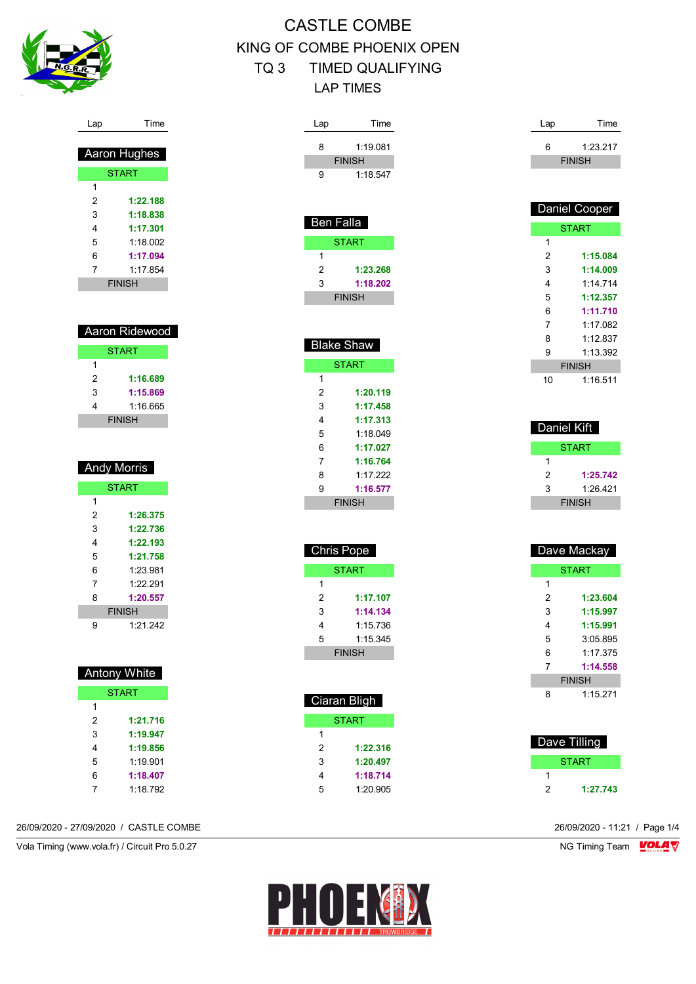

| <b>CASTLE COMBE</b>   |                            |  |  |  |  |
|-----------------------|----------------------------|--|--|--|--|
|                       | KING OF COMBE PHOENIX OPEN |  |  |  |  |
| TQ 3 TIMED QUALIFYING |                            |  |  |  |  |
| I AP TIMFS            |                            |  |  |  |  |

| Lap                 | Time                      |
|---------------------|---------------------------|
| 8                   | 1:19.081                  |
|                     | <b>FINISH</b><br>1:18.547 |
| 9                   |                           |
|                     |                           |
| Ben Falla           |                           |
|                     | <b>START</b>              |
| 1                   |                           |
| 2<br>3              | 1:23.268<br>1:18.202      |
|                     | <b>FINISH</b>             |
|                     |                           |
|                     |                           |
|                     | <b>Blake Shaw</b>         |
| 1                   | <b>START</b>              |
| 2                   | 1:20.119                  |
| 3                   | 1:17.458                  |
| 4                   | 1:17.313                  |
| 5<br>6              | 1:18.049<br>1:17.027      |
| 7                   | 1:16.764                  |
| 8                   | 1:17.222                  |
| 9                   | 1:16.577                  |
|                     | <b>FINISH</b>             |
|                     |                           |
| <b>Chris Pope</b>   |                           |
|                     | <b>START</b>              |
| 1                   |                           |
| $\overline{2}$<br>3 | 1:17.107<br>1:14.134      |
| 4                   | 1:15.736                  |
| 5                   | 1:15.345                  |
|                     | <b>FINISH</b>             |
|                     |                           |
|                     | Ciaran Bligh              |
|                     | <b>START</b>              |
| 1                   |                           |
| 2                   | 1:22.316                  |
| 3                   | 1:20.497                  |

| Lap            | Time          |  |  |
|----------------|---------------|--|--|
| 6              | 1:23.217      |  |  |
|                | <b>FINISH</b> |  |  |
|                |               |  |  |
|                |               |  |  |
|                | Daniel Cooper |  |  |
|                | <b>START</b>  |  |  |
| 1              |               |  |  |
| $\overline{2}$ | 1:15.084      |  |  |
| 3              | 1:14.009      |  |  |
| 4              | 1:14.714      |  |  |
| 5              | 1:12.357      |  |  |
| 6              | 1:11.710      |  |  |
| $\overline{7}$ | 1:17.082      |  |  |
| 8              | 1:12.837      |  |  |
| 9              | 1:13.392      |  |  |
|                | <b>FINISH</b> |  |  |
| 10             | 1:16.511      |  |  |
|                |               |  |  |
|                |               |  |  |
| Daniel Kift    |               |  |  |
|                | <b>START</b>  |  |  |
| 1              |               |  |  |
| $\overline{2}$ | 1:25.742      |  |  |
| 3              | 1:26.421      |  |  |
|                | <b>FINISH</b> |  |  |
|                |               |  |  |
|                |               |  |  |
| Dave Mackay    |               |  |  |
|                |               |  |  |

| <b>START</b> |               |  |
|--------------|---------------|--|
| 1            |               |  |
| 2            | 1:23.604      |  |
| 3            | 1:15.997      |  |
| 4            | 1:15.991      |  |
| 5            | 3:05.895      |  |
| 6            | 1.17.375      |  |
| 7            | 1:14.558      |  |
|              | <b>FINISH</b> |  |
| ጸ            | 1:15.271      |  |

|   | Dave Tilling |
|---|--------------|
|   | <b>START</b> |
|   |              |
| 2 | 1:27.743     |

| Lap | Time          |
|-----|---------------|
|     |               |
|     | Aaron Hughes  |
|     | <b>START</b>  |
| 1   |               |
| 2   | 1:22.188      |
| 3   | 1:18.838      |
| 4   | 1:17.301      |
| 5   | 1.18 002      |
| 6   | 1:17.094      |
| 7   | 1.17854       |
|     | <b>FINISH</b> |

| Aaron Ridewood |          |  |
|----------------|----------|--|
| <b>START</b>   |          |  |
|                |          |  |
| 2              | 1:16.689 |  |
| 3              | 1:15.869 |  |
| 4              | 1:16 665 |  |
| <b>FINISH</b>  |          |  |

|   | <b>Andy Morris</b> |
|---|--------------------|
|   | <b>START</b>       |
| 1 |                    |
| 2 | 1:26.375           |
| 3 | 1:22.736           |
| 4 | 1:22.193           |
| 5 | 1:21.758           |
| 6 | 1.23.981           |
| 7 | 1.22.291           |
| 8 | 1:20.557           |
|   | <b>FINISH</b>      |
| g | 1.21.242           |

| <b>Antony White</b> |              |  |
|---------------------|--------------|--|
|                     | <b>START</b> |  |
| 1                   |              |  |
| 2                   | 1:21.716     |  |
| 3                   | 1:19.947     |  |
| 4                   | 1:19.856     |  |
| 5                   | 1.19.901     |  |
| 6                   | 1:18.407     |  |
| 7                   | 1:18.792     |  |

26/09/2020 - 27/09/2020 / CASTLE COMBE 26/09/2020 - 11:21 / Page 1/4

Vola Timing (www.vola.fr) / Circuit Pro 5.0.27 NG Timing Team VOLA V



 **1:18.714** 1:20.905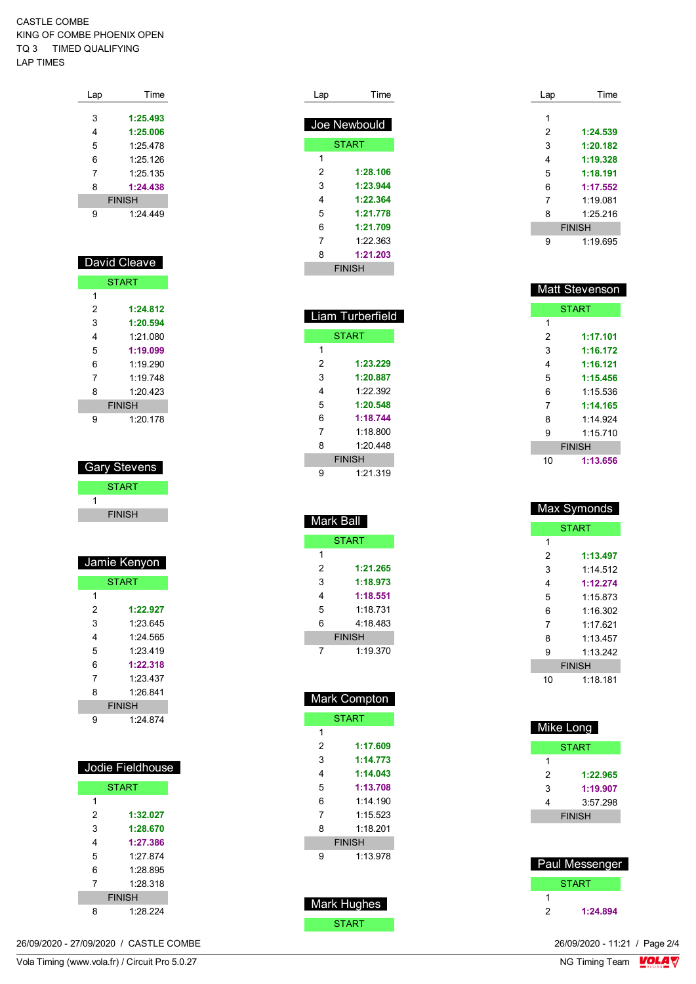#### CASTLE COMBE KING OF COMBE PHOENIX OPEN TQ 3 TIMED QUALIFYING LAP TIMES

| Lap | Time          |
|-----|---------------|
|     |               |
| 3   | 1:25.493      |
| 4   | 1:25.006      |
| 5   | 1:25.478      |
| 6   | 1:25.126      |
| 7   | 1:25.135      |
| 8   | 1:24.438      |
|     | <b>FINISH</b> |
| 9   | 1.24 449      |

| David Cleave |               |  |
|--------------|---------------|--|
|              | <b>START</b>  |  |
| 1            |               |  |
| 2            | 1:24.812      |  |
| 3            | 1:20.594      |  |
| 4            | 1.21 080      |  |
| 5            | 1:19.099      |  |
| 6            | 1:19.290      |  |
| 7            | 1.19748       |  |
| 8            | 1.20423       |  |
|              | <b>FINISH</b> |  |
| 9            | 1:20.178      |  |

| Garv Stevens  |
|---------------|
| START         |
|               |
| <b>FINISH</b> |

| Jamie Kenyon  |              |
|---------------|--------------|
|               | <b>START</b> |
| 1             |              |
| 2             | 1:22.927     |
| 3             | 1.23 645     |
| 4             | 1.24 565     |
| 5             | 1.23 419     |
| 6             | 1:22.318     |
| 7             | 1.23437      |
| 8             | 1.26841      |
| <b>FINISH</b> |              |
| 9             | 1.24 874     |

| Jodie Fieldhouse |          |  |
|------------------|----------|--|
| <b>START</b>     |          |  |
| 1                |          |  |
| 2                | 1:32.027 |  |
| 3                | 1:28.670 |  |
| 4                | 1:27.386 |  |
| 5                | 1.27874  |  |
| 6                | 1.28 895 |  |
| 7                | 1.28.318 |  |
| <b>FINISH</b>    |          |  |
| 8                | 1.28.224 |  |

| Joe Newbould  |          |
|---------------|----------|
| <b>START</b>  |          |
| 1             |          |
| 2             | 1:28.106 |
| 3             | 1:23.944 |
| 4             | 1:22.364 |
| 5             | 1:21.778 |
| 6             | 1:21.709 |
| 7             | 1.22.363 |
| 8             | 1:21.203 |
| <b>FINISH</b> |          |

Lap Time

|               | Liam Turberfield |  |
|---------------|------------------|--|
|               | <b>START</b>     |  |
| 1             |                  |  |
| 2             | 1:23.229         |  |
| 3             | 1:20.887         |  |
| 4             | 1.22.392         |  |
| 5             | 1:20.548         |  |
| 6             | 1:18.744         |  |
| 7             | 1:18.800         |  |
| 8             | 1.20448          |  |
| <b>FINISH</b> |                  |  |
| 9             | 1:21.319         |  |

| Mark Ball     |          |  |
|---------------|----------|--|
| <b>START</b>  |          |  |
| 1             |          |  |
| 2             | 1:21.265 |  |
| 3             | 1:18.973 |  |
| 4             | 1:18.551 |  |
| 5             | 1:18 731 |  |
| 6             | 4:18.483 |  |
| <b>FINISH</b> |          |  |
| 7             | 1:19.370 |  |

| <b>Mark Compton</b> |              |  |
|---------------------|--------------|--|
|                     | <b>START</b> |  |
| 1                   |              |  |
| 2                   | 1:17.609     |  |
| 3                   | 1:14.773     |  |
| 4                   | 1:14.043     |  |
| 5                   | 1:13.708     |  |
| 6                   | 1 14 190     |  |
| 7                   | 1:15.523     |  |
| 8                   | 1.18201      |  |
| <b>FINISH</b>       |              |  |
| 9                   | 1:13.978     |  |
|                     |              |  |
|                     |              |  |



| Lap | Time          |
|-----|---------------|
|     |               |
| 1   |               |
| 2   | 1:24.539      |
| 3   | 1:20.182      |
| 4   | 1:19.328      |
| 5   | 1:18.191      |
| 6   | 1:17.552      |
| 7   | 1.19081       |
| 8   | 1:25.216      |
|     | <b>FINISH</b> |
| 9   | 1:19.695      |

| <b>Matt Stevenson</b> |               |
|-----------------------|---------------|
| <b>START</b>          |               |
| 1                     |               |
| 2                     | 1:17.101      |
| 3                     | 1:16.172      |
| 4                     | 1:16.121      |
| 5                     | 1:15.456      |
| 6                     | 1:15.536      |
| 7                     | 1:14.165      |
| 8                     | 1:14 924      |
| 9                     | 1:15.710      |
|                       | <b>FINISH</b> |
| 10                    | 1:13.656      |

| <b>Max Symonds</b> |          |  |
|--------------------|----------|--|
| <b>START</b>       |          |  |
| 1                  |          |  |
| 2                  | 1:13.497 |  |
| 3                  | 1:14.512 |  |
| 4                  | 1:12.274 |  |
| 5                  | 1.15.873 |  |
| 6                  | 1:16.302 |  |
| 7                  | 1:17.621 |  |
| 8                  | 1:13 457 |  |
| 9                  | 1.13 242 |  |
| <b>FINISH</b>      |          |  |
| 10                 | 1:18.181 |  |

| Mike Long     |          |
|---------------|----------|
| START         |          |
| 1             |          |
| 2             | 1:22.965 |
| 3             | 1:19.907 |
| 4             | 3:57.298 |
| <b>FINISH</b> |          |
|               |          |

| Paul Messenger |              |  |
|----------------|--------------|--|
|                | <b>START</b> |  |
|                |              |  |
| 2              | 1:24.894     |  |

 $\frac{26}{09}{2020} - 11:21$  / Page 2/4<br>NG Timing Team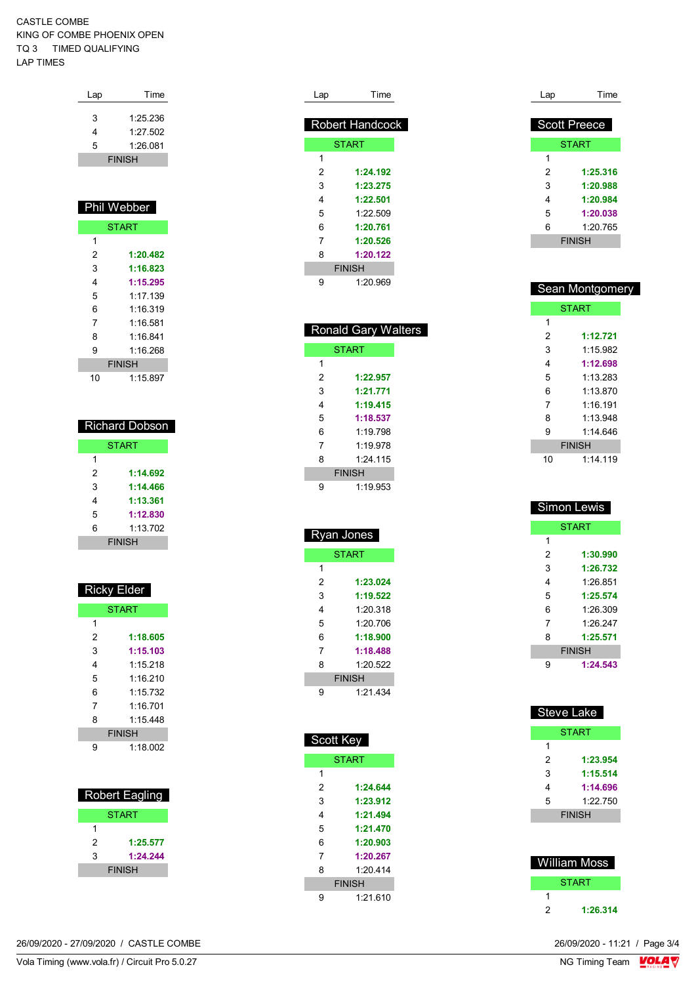#### CASTLE COMBE KING OF COMBE PHOENIX OPEN TQ 3 TIMED QUALIFYING LAP TIMES

| Lap           | Time     |
|---------------|----------|
|               |          |
| 3             | 1.25 236 |
| 4             | 1:27.502 |
| 5             | 1:26.081 |
| <b>FINISH</b> |          |
|               |          |

#### Phil Webber START **1:20.482 1:16.823 1:15.295** 1:17.139 1:16.319 1:16.581 1:16.841 1:16.268 FINISH 1:15.897

| <b>Richard Dobson</b> |          |  |
|-----------------------|----------|--|
| <b>START</b>          |          |  |
| 1                     |          |  |
| 2                     | 1:14.692 |  |
| 3                     | 1:14.466 |  |
| 4                     | 1:13.361 |  |
| 5                     | 1:12.830 |  |
| 6                     | 1:13.702 |  |
| <b>FINISH</b>         |          |  |

| <b>Ricky Elder</b> |          |  |
|--------------------|----------|--|
| <b>START</b>       |          |  |
| 1                  |          |  |
| 2                  | 1:18.605 |  |
| 3                  | 1:15.103 |  |
| 4                  | 1:15.218 |  |
| 5                  | 1.16210  |  |
| 6                  | 1:15 732 |  |
| 7                  | 1.16701  |  |
| 8                  | 1.15448  |  |
| <b>FINISH</b>      |          |  |
| g                  | 1:18.002 |  |

| <b>Robert Eagling</b> |          |  |
|-----------------------|----------|--|
| <b>START</b>          |          |  |
| 1                     |          |  |
| 2                     | 1:25.577 |  |
| 3                     | 1:24.244 |  |
| <b>FINISH</b>         |          |  |

| Lap           | Time            |  |
|---------------|-----------------|--|
|               |                 |  |
|               | Robert Handcock |  |
|               | <b>START</b>    |  |
| 1             |                 |  |
| 2             | 1:24.192        |  |
| 3             | 1:23.275        |  |
| 4             | 1:22.501        |  |
| 5             | 1:22.509        |  |
| 6             | 1:20.761        |  |
| 7             | 1:20.526        |  |
| 8             | 1:20.122        |  |
| <b>FINISH</b> |                 |  |
| 9             | 1:20.969        |  |

| <b>Ronald Gary Walters</b> |              |  |
|----------------------------|--------------|--|
|                            | <b>START</b> |  |
| 1                          |              |  |
| 2                          | 1:22.957     |  |
| 3                          | 1:21.771     |  |
| 4                          | 1:19.415     |  |
| 5                          | 1:18.537     |  |
| 6                          | 1.19798      |  |
| 7                          | 1.19.978     |  |
| 8                          | 1.24 115     |  |
| <b>FINISH</b>              |              |  |
| g                          | 1.19953      |  |

| <b>Ryan Jones</b> |          |  |
|-------------------|----------|--|
| <b>START</b>      |          |  |
| 1                 |          |  |
| 2                 | 1:23.024 |  |
| 3                 | 1:19.522 |  |
| 4                 | 1:20.318 |  |
| 5                 | 1:20.706 |  |
| 6                 | 1:18.900 |  |
| 7                 | 1:18.488 |  |
| 8                 | 1:20.522 |  |
| <b>FINISH</b>     |          |  |
| 9                 | 1:21.434 |  |

I

| Scott Key     |          |  |
|---------------|----------|--|
| <b>START</b>  |          |  |
| 1             |          |  |
| 2             | 1:24.644 |  |
| 3             | 1:23.912 |  |
| 4             | 1:21.494 |  |
| 5             | 1:21.470 |  |
| 6             | 1:20.903 |  |
| 7             | 1:20.267 |  |
| 8             | 1.20414  |  |
| <b>FINISH</b> |          |  |
| g             | 1:21610  |  |

| Lap | Time                |
|-----|---------------------|
|     |                     |
|     | <b>Scott Preece</b> |
|     | <b>START</b>        |
| 1   |                     |
| 2   | 1:25.316            |
| 3   | 1:20.988            |
| 4   | 1:20.984            |
| 5   | 1:20.038            |
| 6   | 1:20.765            |
|     | <b>FINISH</b>       |

| Sean Montgomery |              |  |  |
|-----------------|--------------|--|--|
|                 | <b>START</b> |  |  |
| 1               |              |  |  |
| 2               | 1:12.721     |  |  |
| 3               | 1:15.982     |  |  |
| 4               | 1:12.698     |  |  |
| 5               | 1:13.283     |  |  |
| 6               | 1.13.870     |  |  |
| 7               | $1.16$ 191   |  |  |
| 8               | 1.13948      |  |  |
| 9               | 1:14 646     |  |  |
| <b>FINISH</b>   |              |  |  |
| 10              | 1:14.119     |  |  |

| <b>Simon Lewis</b> |          |  |
|--------------------|----------|--|
| <b>START</b>       |          |  |
| 1                  |          |  |
| 2                  | 1:30.990 |  |
| 3                  | 1:26.732 |  |
| 4                  | 1.26851  |  |
| 5                  | 1:25.574 |  |
| 6                  | 1.26.309 |  |
| 7                  | 1.26.247 |  |
| 8                  | 1:25.571 |  |
| <b>FINISH</b>      |          |  |
| 9                  | 1:24.543 |  |

| <b>Steve Lake</b> |              |  |
|-------------------|--------------|--|
|                   | <b>START</b> |  |
| 1                 |              |  |
| 2                 | 1:23.954     |  |
| 3                 | 1:15.514     |  |
| 4                 | 1:14.696     |  |
| 5                 | 1:22.750     |  |
| <b>FINISH</b>     |              |  |
|                   |              |  |

|   | William Moss |
|---|--------------|
|   | <b>START</b> |
|   |              |
| 2 | 1:26.314     |

26/09/2020 - 27/09/2020 / CASTLE COMBE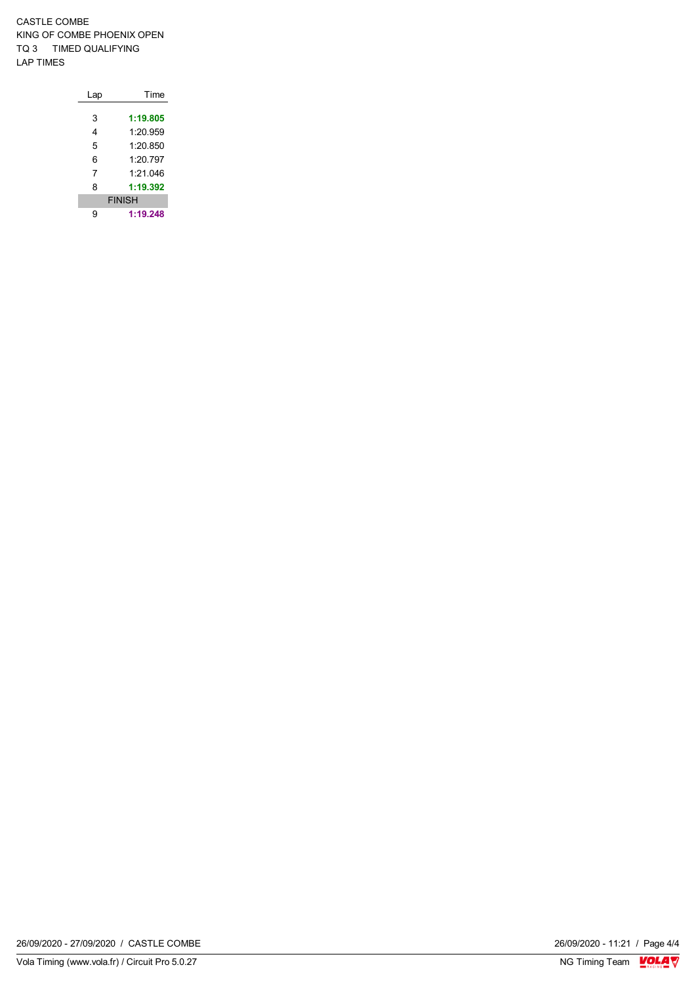CASTLE COMBE KING OF COMBE PHOENIX OPEN TQ 3 TIMED QUALIFYING LAP TIMES

| Lap | Time          |
|-----|---------------|
|     |               |
| 3   | 1:19.805      |
| 4   | 1:20.959      |
| 5   | 1:20.850      |
| 6   | 1:20.797      |
| 7   | 1:21.046      |
| 8   | 1:19.392      |
|     | <b>FINISH</b> |
|     | 1:19.248      |

26/09/2020 - 11:21 / Page 4/4<br>NG Timing Team  $\frac{\text{VOLA}}{\text{Nc}}$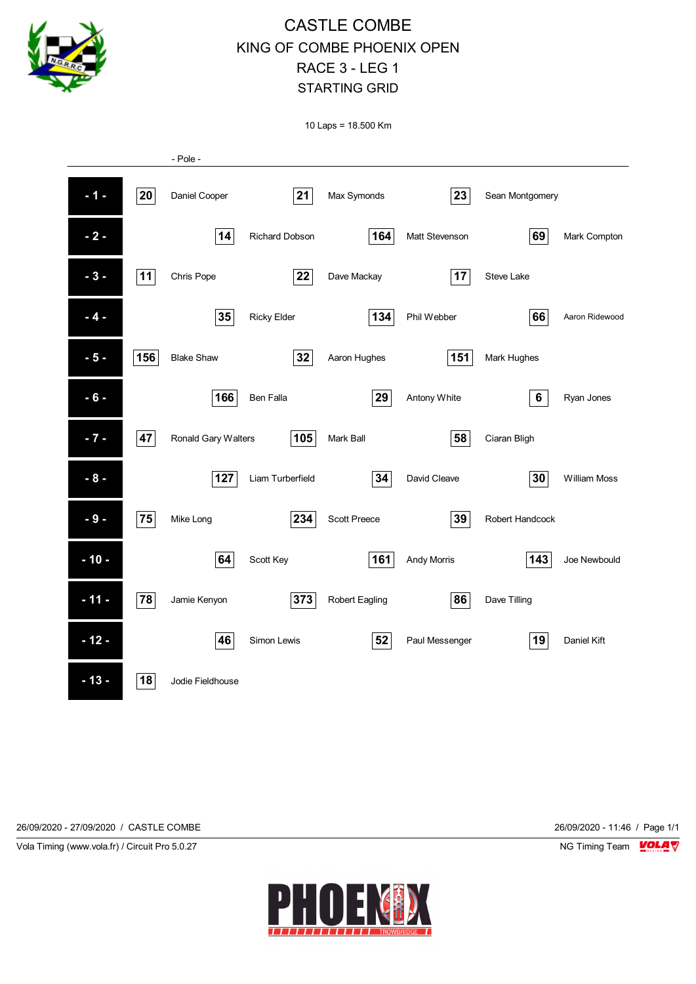

## CASTLE COMBE KING OF COMBE PHOENIX OPEN RACE 3 - LEG 1 STARTING GRID

10 Laps = 18.500 Km



26/09/2020 - 27/09/2020 / CASTLE COMBE 26/09/2020 - 11:46 / Page 1/1

Vola Timing (www.vola.fr) / Circuit Pro 5.0.27 NG Timing Team NG Timing Team NG Timing Team NG Timing Team NG

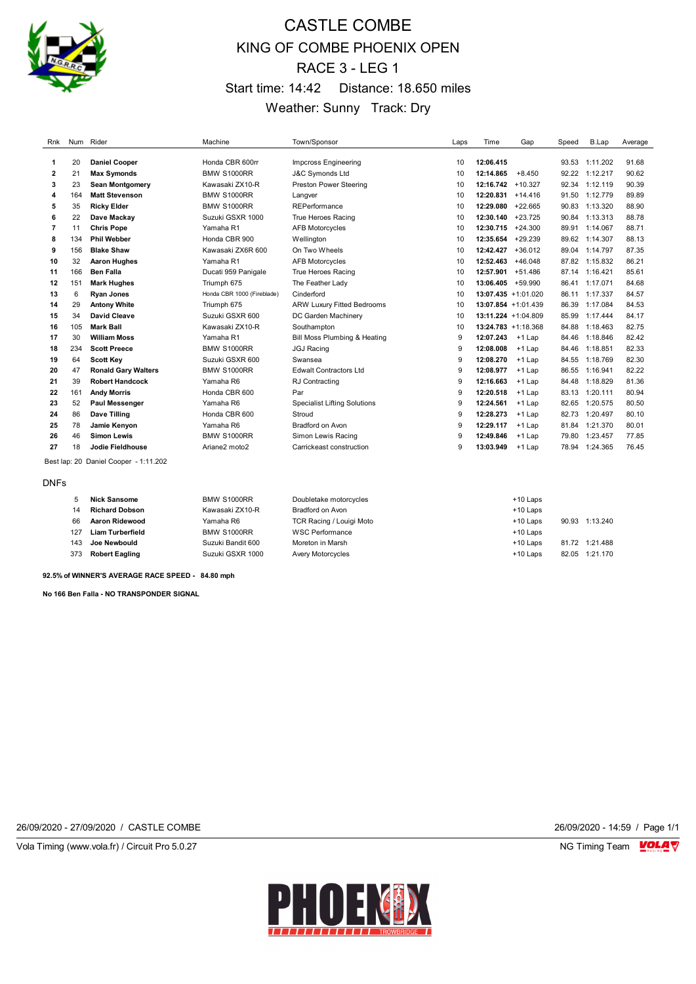

# CASTLE COMBE KING OF COMBE PHOENIX OPEN RACE 3 - LEG 1 Start time: 14:42 Distance: 18.650 miles Weather: Sunny Track: Dry

| Rnk |     | Num Rider                  | Machine                    | Town/Sponsor                        | Laps | Time                | Gap                    | Speed | B.Lap          | Average |
|-----|-----|----------------------------|----------------------------|-------------------------------------|------|---------------------|------------------------|-------|----------------|---------|
|     |     |                            |                            |                                     |      |                     |                        |       |                |         |
| 1   | 20  | <b>Daniel Cooper</b>       | Honda CBR 600rr            | <b>Impcross Engineering</b>         | 10   | 12:06.415           |                        | 93.53 | 1:11.202       | 91.68   |
| 2   | 21  | <b>Max Symonds</b>         | <b>BMW S1000RR</b>         | <b>J&amp;C Symonds Ltd</b>          | 10   | 12:14.865           | $+8.450$               |       | 92.22 1:12.217 | 90.62   |
| 3   | 23  | <b>Sean Montgomery</b>     | Kawasaki ZX10-R            | <b>Preston Power Steering</b>       | 10   | 12:16.742           | $+10.327$              | 92.34 | 1:12.119       | 90.39   |
| 4   | 164 | <b>Matt Stevenson</b>      | <b>BMW S1000RR</b>         | Langver                             | 10   | 12:20.831           | $+14.416$              | 91.50 | 1:12.779       | 89.89   |
| 5   | 35  | <b>Ricky Elder</b>         | <b>BMW S1000RR</b>         | REPerformance                       | 10   | 12:29.080           | $+22.665$              | 90.83 | 1:13.320       | 88.90   |
| 6   | 22  | Dave Mackay                | Suzuki GSXR 1000           | True Heroes Racing                  | 10   | 12:30.140           | $+23.725$              | 90.84 | 1:13.313       | 88.78   |
| 7   | 11  | <b>Chris Pope</b>          | Yamaha R1                  | <b>AFB Motorcycles</b>              | 10   | 12:30.715           | $+24.300$              | 89.91 | 1:14.067       | 88.71   |
| 8   | 134 | <b>Phil Webber</b>         | Honda CBR 900              | Wellington                          | 10   | 12:35.654           | $+29.239$              | 89.62 | 1:14.307       | 88.13   |
| 9   | 156 | <b>Blake Shaw</b>          | Kawasaki ZX6R 600          | On Two Wheels                       | 10   | 12:42.427           | $+36.012$              |       | 89.04 1:14.797 | 87.35   |
| 10  | 32  | <b>Aaron Hughes</b>        | Yamaha R1                  | <b>AFB Motorcycles</b>              | 10   | 12:52.463           | $+46.048$              | 87.82 | 1:15.832       | 86.21   |
| 11  | 166 | <b>Ben Falla</b>           | Ducati 959 Panigale        | True Heroes Racing                  | 10   | 12:57.901           | $+51.486$              |       | 87.14 1:16.421 | 85.61   |
| 12  | 151 | <b>Mark Hughes</b>         | Triumph 675                | The Feather Lady                    | 10   | 13:06.405           | $+59.990$              | 86.41 | 1:17.071       | 84.68   |
| 13  | 6   | <b>Ryan Jones</b>          | Honda CBR 1000 (Fireblade) | Cinderford                          | 10   |                     | $13:07.435 + 1:01.020$ | 86.11 | 1:17.337       | 84.57   |
| 14  | 29  | <b>Antony White</b>        | Triumph 675                | <b>ARW Luxury Fitted Bedrooms</b>   | 10   |                     | $13:07.854 + 1:01.439$ | 86.39 | 1:17.084       | 84.53   |
| 15  | 34  | David Cleave               | Suzuki GSXR 600            | DC Garden Machinery                 | 10   | 13:11.224 +1:04.809 |                        | 85.99 | 1:17.444       | 84.17   |
| 16  | 105 | <b>Mark Ball</b>           | Kawasaki ZX10-R            | Southampton                         | 10   |                     | 13:24.783 +1:18.368    | 84.88 | 1:18.463       | 82.75   |
| 17  | 30  | <b>William Moss</b>        | Yamaha R1                  | Bill Moss Plumbing & Heating        | 9    | 12:07.243           | $+1$ Lap               | 84.46 | 1:18.846       | 82.42   |
| 18  | 234 | <b>Scott Preece</b>        | <b>BMW S1000RR</b>         | <b>JGJ Racing</b>                   | 9    | 12:08.008           | $+1$ Lap               | 84.46 | 1:18.851       | 82.33   |
| 19  | 64  | <b>Scott Key</b>           | Suzuki GSXR 600            | Swansea                             | 9    | 12:08.270           | $+1$ Lap               | 84.55 | 1:18.769       | 82.30   |
| 20  | 47  | <b>Ronald Gary Walters</b> | <b>BMW S1000RR</b>         | <b>Edwalt Contractors Ltd</b>       | 9    | 12:08.977           | $+1$ Lap               | 86.55 | 1:16.941       | 82.22   |
| 21  | 39  | <b>Robert Handcock</b>     | Yamaha R6                  | <b>RJ</b> Contracting               | 9    | 12:16.663           | $+1$ Lap               | 84.48 | 1:18.829       | 81.36   |
| 22  | 161 | <b>Andy Morris</b>         | Honda CBR 600              | Par                                 | 9    | 12:20.518           | $+1$ Lap               | 83.13 | 1:20.111       | 80.94   |
| 23  | 52  | Paul Messenger             | Yamaha R6                  | <b>Specialist Lifting Solutions</b> | 9    | 12:24.561           | $+1$ Lap               | 82.65 | 1:20.575       | 80.50   |
| 24  | 86  | Dave Tilling               | Honda CBR 600              | Stroud                              | 9    | 12:28.273           | $+1$ Lap               | 82.73 | 1:20.497       | 80.10   |
| 25  | 78  | Jamie Kenyon               | Yamaha R6                  | <b>Bradford on Avon</b>             | 9    | 12:29.117           | $+1$ Lap               | 81.84 | 1:21.370       | 80.01   |
| 26  | 46  | <b>Simon Lewis</b>         | <b>BMW S1000RR</b>         | Simon Lewis Racing                  | 9    | 12:49.846           | $+1$ Lap               | 79.80 | 1:23.457       | 77.85   |
| 27  | 18  | Jodie Fieldhouse           | Ariane2 moto2              | Carrickeast construction            | 9    | 13:03.949           | $+1$ Lap               | 78.94 | 1:24.365       | 76.45   |

Best lap: 20 Daniel Cooper - 1:11.202

DNFs

|     | <b>Nick Sansome</b>   | <b>BMW S1000RR</b> | Doubletake motorcycles   | $+10$ Laps |       |                |
|-----|-----------------------|--------------------|--------------------------|------------|-------|----------------|
| 14  | <b>Richard Dobson</b> | Kawasaki ZX10-R    | Bradford on Avon         | $+10$ Laps |       |                |
| 66  | Aaron Ridewood        | Yamaha R6          | TCR Racing / Louigi Moto | $+10$ Laps | 90.93 | 1:13.240       |
| 127 | Liam Turberfield      | <b>BMW S1000RR</b> | <b>WSC Performance</b>   | $+10$ Laps |       |                |
| 143 | Joe Newbould          | Suzuki Bandit 600  | Moreton in Marsh         | $+10$ Laps |       | 81.72 1:21.488 |
| 373 | <b>Robert Eagling</b> | Suzuki GSXR 1000   | Avery Motorcycles        | $+10$ Laps | 82.05 | 1:21.170       |

**92.5% of WINNER'S AVERAGE RACE SPEED - 84.80 mph**

**No 166 Ben Falla - NO TRANSPONDER SIGNAL**

26/09/2020 - 27/09/2020 / CASTLE COMBE 26/09/2020 - 14:59 / Page 1/1

Vola Timing (www.vola.fr) / Circuit Pro 5.0.27 **NG Timing Team MOLA View Account Property** NG Timing Team MOLA View

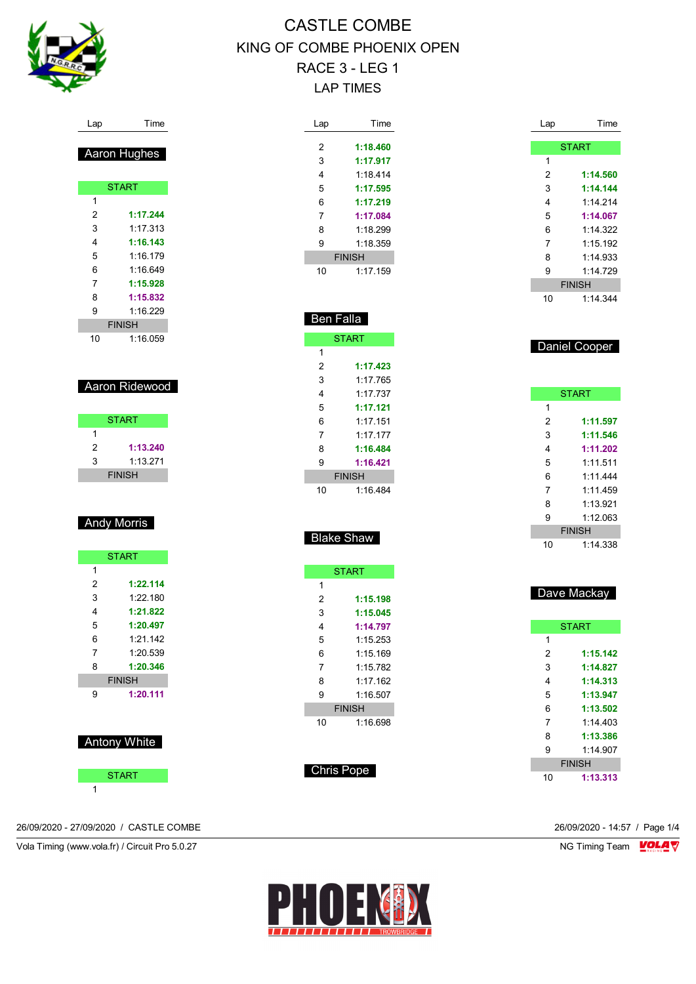

| Lap | Time          |
|-----|---------------|
|     |               |
| 2   | 1:18.460      |
| 3   | 1:17.917      |
| 4   | 1.18414       |
| 5   | 1:17.595      |
| 6   | 1:17.219      |
| 7   | 1:17.084      |
| 8   | 1:18.299      |
| 9   | 1.18.359      |
|     | <b>FINISH</b> |
| 10  | 1:17.159      |

Ben Falla

**START** 

 **1:17.423** 1:17.765 1:17.737 **1:17.121** 1:17.151 1:17.177 **1:16.484 1:16.421** FINISH 1:16.484

Blake Shaw

**START** 

 **1:15.198 1:15.045 1:14.797** 1:15.253 1:15.169 1:15.782 1:17.162 1:16.507 FINISH 1:16.698

| Lap | Time          |
|-----|---------------|
|     | <b>START</b>  |
| 1   |               |
| 2   | 1:14.560      |
| 3   | 1:14.144      |
| 4   | 1.14214       |
| 5   | 1:14.067      |
| 6   | 1:14.322      |
| 7   | 1:15.192      |
| 8   | 1:14.933      |
| 9   | 1:14.729      |
|     | <b>FINISH</b> |
| 10  | 1.14.344      |
|     |               |
|     |               |
|     | Daniel Cooper |
|     |               |
|     |               |
|     |               |
|     | <b>START</b>  |
| 1   |               |

|   | <b>START</b> |
|---|--------------|
| 1 |              |
| 2 | 1:11.597     |
| 3 | 1:11.546     |
| 4 | 1:11.202     |
| 5 | 1.11511      |
| 6 | 1.11444      |
| 7 | 1.11459      |
| 8 | 1:13 921     |
| g | 1:12.063     |

FINISH 1:14.338

|    | Dave Mackay   |
|----|---------------|
|    | <b>START</b>  |
| 1  |               |
| 2  | 1:15.142      |
| 3  | 1:14.827      |
| 4  | 1:14.313      |
| 5  | 1:13.947      |
| 6  | 1:13.502      |
| 7  | 1.14403       |
| 8  | 1:13.386      |
| 9  | 1.14907       |
|    | <b>FINISH</b> |
| 10 | 1:13.313      |

|   | <b>Aaron Hughes</b> |
|---|---------------------|
|   |                     |
|   | <b>START</b>        |
| 1 |                     |
| 2 | 1:17.244            |
| 3 | 1.17.313            |
| 4 | 1:16.143            |
| 5 | 1:16.179            |

Lap Time

| 6  | 1:16.649      |  |
|----|---------------|--|
| 7  | 1:15.928      |  |
| 8  | 1:15.832      |  |
| 9  | 1.16 229      |  |
|    | <b>FINISH</b> |  |
| 10 | 1:16.059      |  |

#### Aaron Ridewood

|   | <b>START</b>  |  |
|---|---------------|--|
|   |               |  |
| 2 | 1:13.240      |  |
| 3 | 1.13 271      |  |
|   | <b>FINISH</b> |  |

#### Andy Morris

|   | <b>START</b>  |
|---|---------------|
| 1 |               |
| 2 | 1:22.114      |
| 3 | 1.22180       |
| 4 | 1:21.822      |
| 5 | 1:20.497      |
| 6 | 1.21 142      |
| 7 | 1.20 539      |
| 8 | 1:20.346      |
|   | <b>FINISH</b> |
| 9 | 1:20.111      |

Antony White

**START** 

26/09/2020 - 27/09/2020 / CASTLE COMBE 26/09/2020 - 14:57 / Page 1/4



Chris Pope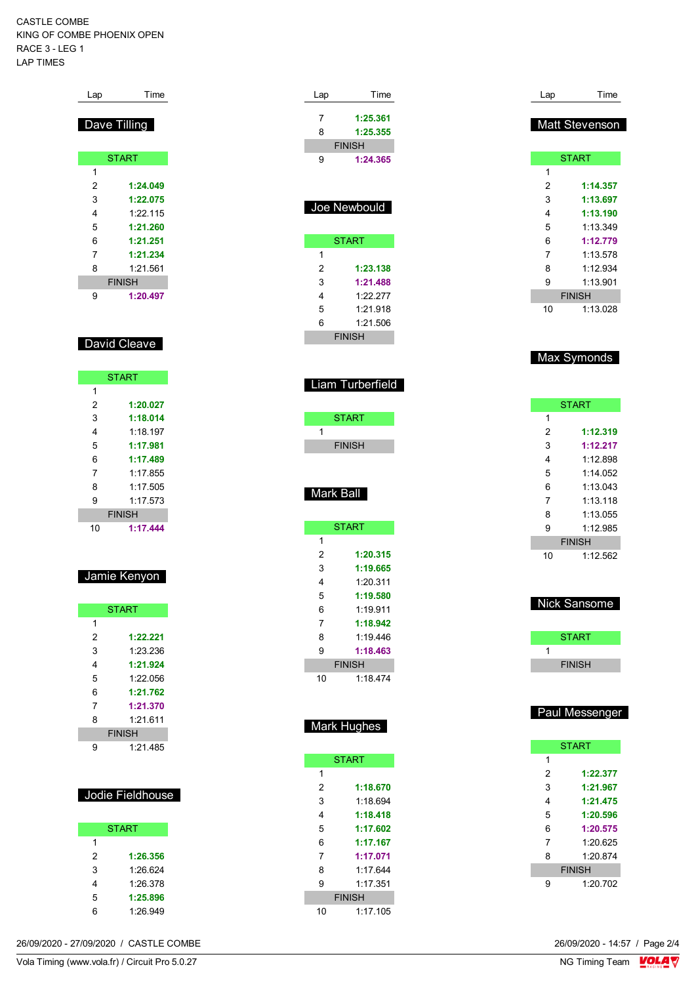| Lap            | Time          |
|----------------|---------------|
|                | Dave Tilling  |
|                | <b>START</b>  |
| 1              |               |
| 2              | 1:24.049      |
| 3              | 1:22.075      |
| 4              | 1:22.115      |
| 5              | 1:21.260      |
| 6              | 1:21.251      |
| $\overline{7}$ | 1:21.234      |
| 8              | 1:21.561      |
|                | <b>FINISH</b> |
| 9              | 1:20.497      |
|                | David Cleave  |
|                | <b>START</b>  |
| 1              |               |

| 1  |               |
|----|---------------|
| 2  | 1:20.027      |
| 3  | 1:18.014      |
| 4  | 1.18 197      |
| 5  | 1:17.981      |
| 6  | 1:17.489      |
| 7  | 1.17855       |
| 8  | 1.17505       |
| 9  | 1.17573       |
|    | <b>FINISH</b> |
| 10 | 1:17.444      |

| Jamie Kenvon |  |  |  |  |
|--------------|--|--|--|--|
|              |  |  |  |  |

|   | <b>START</b>  |
|---|---------------|
| 1 |               |
| 2 | 1:22.221      |
| 3 | 1:23.236      |
| 4 | 1:21.924      |
| 5 | 1.22 056      |
| 6 | 1:21.762      |
| 7 | 1:21.370      |
| 8 | 1.21 611      |
|   | <b>FINISH</b> |
| g | 1.21 485      |

| Jodie Fieldhouse |
|------------------|

|   | <b>START</b> |
|---|--------------|
| 1 |              |
| 2 | 1:26.356     |
| 3 | 1.26.624     |
| 4 | 1.26.378     |
| 5 | 1:25.896     |
| 6 | 1:26.949     |

| Lap          | Time                      | Lap            | Time           |
|--------------|---------------------------|----------------|----------------|
|              |                           |                |                |
| 7            | 1:25.361                  |                | Matt Stevenson |
| 8            | 1:25.355                  |                |                |
| 9            | <b>FINISH</b><br>1:24.365 |                | <b>START</b>   |
|              |                           | 1              |                |
|              |                           | $\overline{2}$ | 1:14.357       |
|              |                           | 3              | 1:13.697       |
|              | Joe Newbould              | 4              | 1:13.190       |
|              |                           | 5              | 1:13.349       |
|              | <b>START</b>              | 6              | 1:12.779       |
| $\mathbf{1}$ |                           | 7              | 1:13.578       |
| 2            | 1:23.138                  | 8              | 1:12.934       |
| 3            | 1:21.488                  | 9              | 1:13.901       |
| 4            | 1:22.277                  |                | <b>FINISH</b>  |
| 5            | 1:21.918                  | 10             | 1:13.028       |
| 6            | 1:21.506                  |                |                |
|              | <b>FINISH</b>             |                |                |
|              |                           |                |                |
|              |                           |                | Max Symonds    |
|              |                           |                |                |
|              | iam Turberfield.          |                |                |
|              |                           |                | <b>START</b>   |
|              | <b>START</b>              | 1              |                |
| 1            |                           | $\overline{2}$ | 1:12.319       |
|              | <b>FINISH</b>             | 3              | 1:12.217       |
|              |                           | 4              | 1:12.898       |
|              |                           | 5              | 1:14.052       |
|              | Mark Ball                 | 6              | 1:13.043       |
|              |                           | 7              | 1:13.118       |
|              |                           | 8              | 1:13.055       |
|              | <b>START</b>              | 9              | 1:12.985       |
| 1            |                           |                | <b>FINISH</b>  |
| 2            | 1:20.315                  | 10             | 1:12.562       |
| 3            | 1:19.665                  |                |                |
| 4            | 1:20.311                  |                |                |
| 5            | 1:19.580                  |                | Nick Sansome   |
| 6            | 1:19.911                  |                |                |
| 7            | 1:18.942                  |                |                |
| 8            | 1:19.446                  |                | <b>START</b>   |
| 9            | 1:18.463                  | 1              |                |
|              | <b>FINISH</b>             |                | <b>FINISH</b>  |
| 10           | 1:18.474                  |                |                |
|              |                           |                |                |
|              |                           |                | Paul Messenger |
|              | Mark Hughes               |                |                |
|              |                           |                | <b>START</b>   |
|              | <b>START</b>              | 1              |                |
| 1            |                           | 2              | 1:22.377       |
| 2            | 1:18.670                  | 3              | 1:21.967       |
| 3            | 1:18.694                  | 4              | 1:21.475       |
| 4            | 1:18.418                  | 5              | 1:20.596       |
| 5            | 1:17.602                  | 6              | 1:20.575       |
| 6            | 1:17.167                  | 7              | 1:20.625       |
| 7            | 1:17.071                  | 8              | 1:20.874       |
| 8            | 1:17.644                  |                | <b>FINISH</b>  |
| 9            | 1:17.351                  | 9              | 1:20.702       |
|              | <b>FINISH</b>             |                |                |
| 10           | 1:17.105                  |                |                |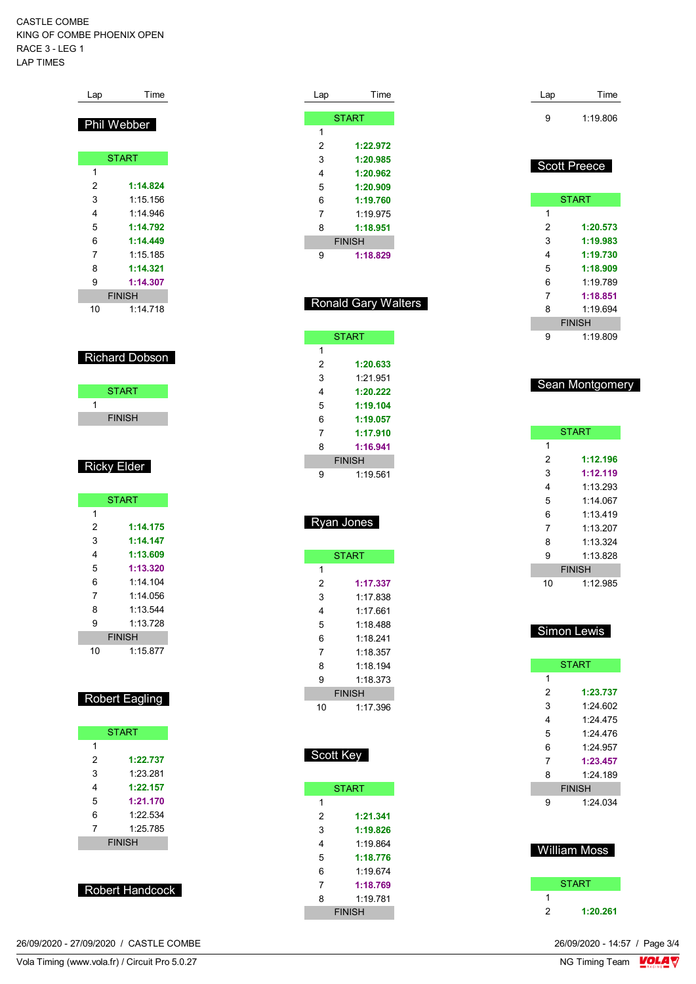| Lap | Time               |
|-----|--------------------|
|     | <b>Phil Webber</b> |
|     | <b>START</b>       |
| 1   |                    |
| 2   | 1:14.824           |
| 3   | 1:15.156           |
| 4   | 1.14946            |
| 5   | 1:14.792           |
| 6   | 1:14.449           |
| 7   | 1:15.185           |
| 8   | 1:14.321           |
| 9   | 1:14.307           |
|     | <b>FINISH</b>      |
| 10  | 1:14.718           |

#### Richard Dobson

| <b>START</b>  |  |
|---------------|--|
|               |  |
| <b>FINISH</b> |  |
|               |  |

#### Ricky Elder

|    | <b>START</b>  |
|----|---------------|
| 1  |               |
| 2  | 1:14.175      |
| 3  | 1:14.147      |
| 4  | 1:13.609      |
| 5  | 1:13.320      |
| 6  | 1.14104       |
| 7  | 1.14056       |
| 8  | 1.13.544      |
| 9  | 1.13728       |
|    | <b>FINISH</b> |
| 10 | 1:15.877      |

## Robert Eagling

|   | <b>START</b>  |
|---|---------------|
| 1 |               |
| 2 | 1:22.737      |
| 3 | 1.23.281      |
| 4 | 1:22.157      |
| 5 | 1:21.170      |
| 6 | 1.22 534      |
| 7 | 1:25.785      |
|   | <b>FINISH</b> |
|   |               |

| <b>Robert Handcock</b> |
|------------------------|

| 26/09/2020 - 27/09/2020 / CASTLE COMBE | 26/09/2020 - 14:57 / Page 3/4 |
|----------------------------------------|-------------------------------|
|----------------------------------------|-------------------------------|

| Lap | Time              |
|-----|-------------------|
|     |                   |
|     | <b>START</b>      |
| 1   |                   |
| 2   | 1:22.972          |
| 3   | 1:20.985          |
| 4   | 1:20.962          |
| 5   | 1:20.909          |
| 6   | 1:19.760          |
| 7   | 1:19.975          |
| 8   | 1:18.951          |
|     | <b>FINISH</b>     |
| 9   | 1:18.829          |
|     |                   |
|     |                   |
|     | Ronald Garv Waltı |

| <b>Ronald Gary Walters</b> |  |  |
|----------------------------|--|--|
|                            |  |  |

|   | <b>START</b>  |
|---|---------------|
| 1 |               |
| 2 | 1:20.633      |
| 3 | 1.21.951      |
| 4 | 1:20.222      |
| 5 | 1:19.104      |
| 6 | 1:19.057      |
| 7 | 1:17.910      |
| 8 | 1:16.941      |
|   | <b>FINISH</b> |
| g | 1:19.561      |

## Ryan Jones

|    | <b>START</b>  |
|----|---------------|
| 1  |               |
| 2  | 1:17.337      |
| 3  | 1:17 838      |
| 4  | 1.17 661      |
| 5  | 1:18.488      |
| 6  | 1.18241       |
| 7  | 1:18.357      |
| 8  | 1:18.194      |
| 9  | 1.18.373      |
|    | <b>FINISH</b> |
| 10 | 1.17.396      |

| cott Key<br>-5 |  |
|----------------|--|
|                |  |

|   | <b>START</b>  |
|---|---------------|
| 1 |               |
| 2 | 1:21.341      |
| 3 | 1:19.826      |
| 4 | 1.19864       |
| 5 | 1:18.776      |
| 6 | 1.19674       |
| 7 | 1:18.769      |
| 8 | 1.19781       |
|   | <b>FINISH</b> |

| Lap | Time     |
|-----|----------|
| 9   | 1:19.806 |

### Scott Preece

|   | <b>START</b>  |
|---|---------------|
| 1 |               |
| 2 | 1:20.573      |
| 3 | 1:19.983      |
| 4 | 1:19.730      |
| 5 | 1:18.909      |
| 6 | 1.19789       |
| 7 | 1:18.851      |
| 8 | 1.19694       |
|   | <b>FINISH</b> |
|   | 1:19.809      |

#### Sean Montgomery

|    | <b>START</b>  |
|----|---------------|
| 1  |               |
| 2  | 1:12.196      |
| 3  | 1:12.119      |
| 4  | 1:13.293      |
| 5  | 1.14067       |
| 6  | 1.13419       |
| 7  | 1.13207       |
| 8  | 1.13.324      |
| 9  | 1:13.828      |
|    | <b>FINISH</b> |
| 10 | 1:12.985      |

#### Simon Lewis

|   | <b>START</b>  |
|---|---------------|
| 1 |               |
| 2 | 1:23.737      |
| 3 | 1.24602       |
| 4 | 1.24475       |
| 5 | 1.24476       |
| 6 | 1.24957       |
| 7 | 1:23.457      |
| 8 | 1:24.189      |
|   | <b>FINISH</b> |
| 9 | 1:24.034      |
|   |               |
|   |               |

### William Moss

|   | <b>START</b> |
|---|--------------|
|   |              |
| 2 | 1:20.261     |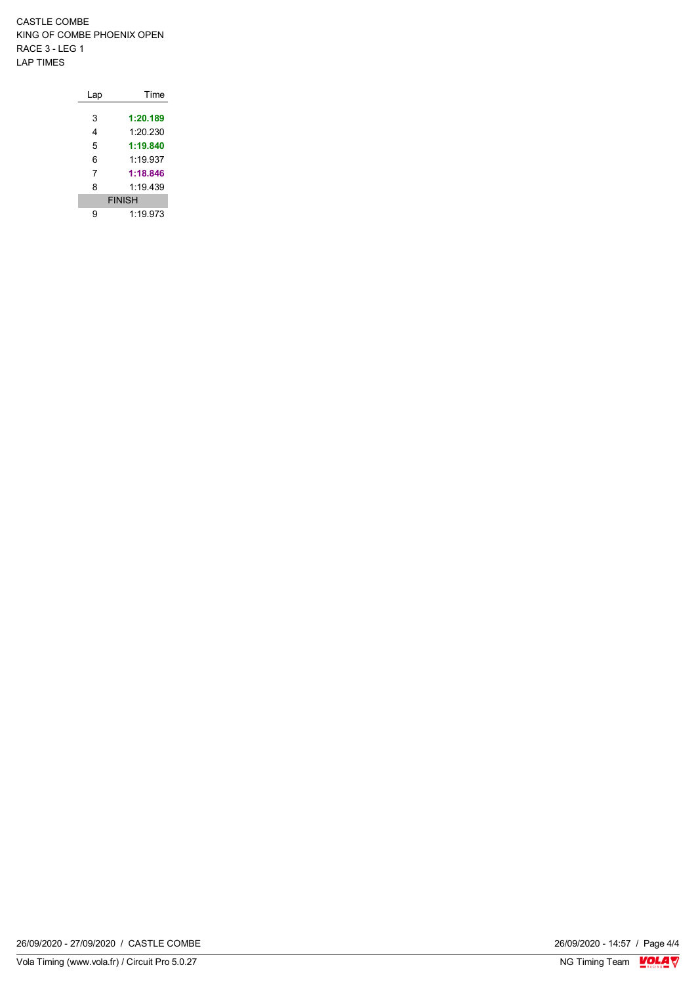| Lap | Time          |
|-----|---------------|
|     |               |
| 3   | 1:20.189      |
| 4   | 1:20.230      |
| 5   | 1:19.840      |
| 6   | 1.19937       |
| 7   | 1:18.846      |
| 8   | 1:19.439      |
|     | <b>FINISH</b> |
| q   | 1:19.973      |

26/09/2020 - 14:57 / Page 4/4<br>NG Timing Team  $\frac{\text{VOLA}}{\text{Nc}}$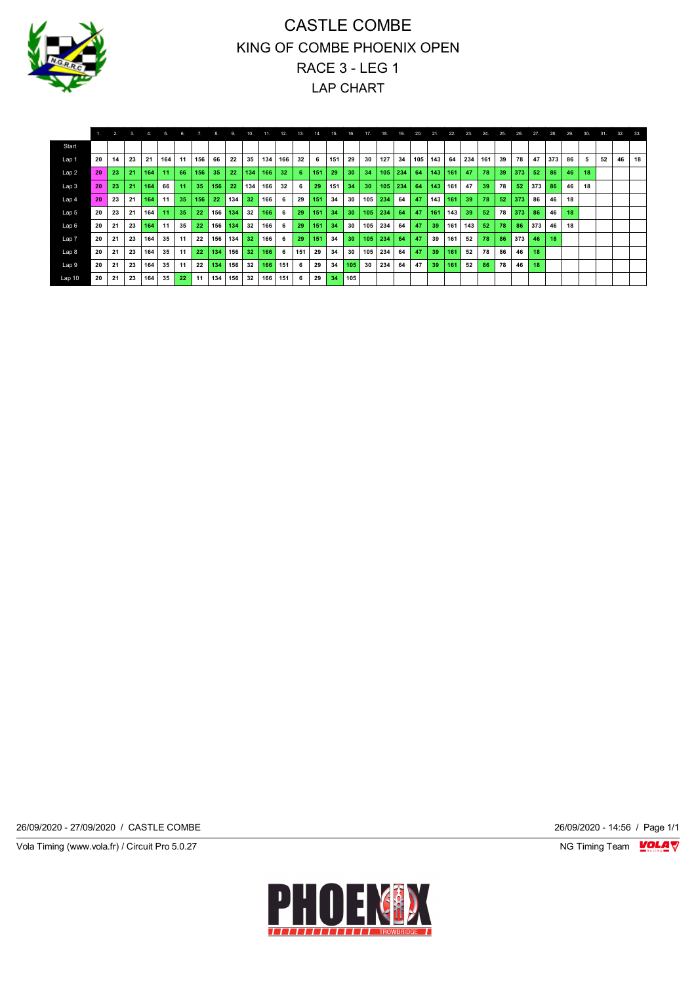

|                  |    | 2. | 3. | 4.  | 5.  | 6. | 7.  | 8.  | 9.  | 10. | 11. | 12. | 13. | 14  | 15. | 16. | 17  | 18. | 19. | 20. | 21. | 22. | 23. | 24. | 25. | 26. | 27. | 28. | 29. | 30. | 31. | 32. | 33. |
|------------------|----|----|----|-----|-----|----|-----|-----|-----|-----|-----|-----|-----|-----|-----|-----|-----|-----|-----|-----|-----|-----|-----|-----|-----|-----|-----|-----|-----|-----|-----|-----|-----|
| Start            |    |    |    |     |     |    |     |     |     |     |     |     |     |     |     |     |     |     |     |     |     |     |     |     |     |     |     |     |     |     |     |     |     |
| Lap 1            | 20 | 14 | 23 | 21  | 164 | 11 | 156 | 66  | 22  | 35  | 134 | 166 | 32  | 6   | 151 | 29  | 30  | 127 | 34  | 105 | 143 | 64  | 234 | 161 | 39  | 78  | 47  | 373 | 86  | 5.  | 52  | 46  | 18  |
| Lap <sub>2</sub> | 20 | 23 | 21 | 164 | 11  | 66 | 156 | 35  | 22  | 134 | 166 | 32  | 6.  | 151 | 29  | 30  | 34  | 105 | 234 | 64  | 143 | 161 | 47  | 78  | 39  | 373 | 52  | 86  | 46  | 18  |     |     |     |
| Lap 3            | 20 | 23 | 21 | 164 | 66  | 11 | 35  | 156 | 22  | 134 | 166 | 32  | 6   | 29  | 151 | 34  | 30  | 105 | 234 | 64  | 143 | 161 | 47  | 39  | 78  | 52  | 373 | 86  | 46  | 18  |     |     |     |
| Lap 4            | 20 | 23 | 21 | 164 | 11  | 35 | 156 | 22  | 134 | 32  | 166 | 6.  | 29  | 151 | 34  | 30  | 105 | 234 | 64  | 47  | 143 | 161 | 39  | 78  | 52  | 373 | 86  | 46  | 18  |     |     |     |     |
| Lap 5            | 20 | 23 | 21 | 164 | 11  | 35 | 22  | 156 | 134 | 32  | 166 | 6   | 29  | 151 | 34  | 30  | 105 | 234 | 64  | 47  | 161 | 143 | 39  | 52  | 78  | 373 | 86  | 46  | 18  |     |     |     |     |
| Lap 6            | 20 | 21 | 23 | 164 | 11  | 35 | 22  | 156 | 134 | 32  | 166 | 6   | 29  | 151 | 34  | 30  | 105 | 234 | 64  | 47  | 39  | 161 | 143 | 52  | 78  | 86  | 373 | 46  | 18  |     |     |     |     |
| Lap 7            | 20 | 21 | 23 | 164 | 35  | 11 | 22  | 156 | 134 | 32  | 166 | 6   | 29  | 151 | 34  | 30  | 105 | 234 | 64  | 47  | 39  | 161 | 52  | 78  | 86  | 373 | 46  | 18  |     |     |     |     |     |
| Lap 8            | 20 | 21 | 23 | 164 | 35  | 11 | 22  | 134 | 156 | 32  | 166 | 6   | 151 | 29  | 34  | 30  | 105 | 234 | 64  | 47  | 39  | 161 | 52  | 78  | 86  | 46  | 18  |     |     |     |     |     |     |
| Lap 9            | 20 | 21 | 23 | 164 | 35  | 11 | 22  | 134 | 156 | 32  | 166 | 151 | 6   | 29  | 34  | 105 | 30  | 234 | 64  | 47  | 39  | 161 | 52  | 86  | 78  | 46  | 18  |     |     |     |     |     |     |
| Lap 10           | 20 | 21 | 23 | 164 | 35  | 22 | 11  | 134 | 156 | 32  | 166 | 151 | 6   | 29  | 34  | 105 |     |     |     |     |     |     |     |     |     |     |     |     |     |     |     |     |     |

26/09/2020 - 27/09/2020 / CASTLE COMBE 26/09/2020 - 14:56 / Page 1/1

Vola Timing (www.vola.fr) / Circuit Pro 5.0.27 **NG Timing Team Monet Account Property**